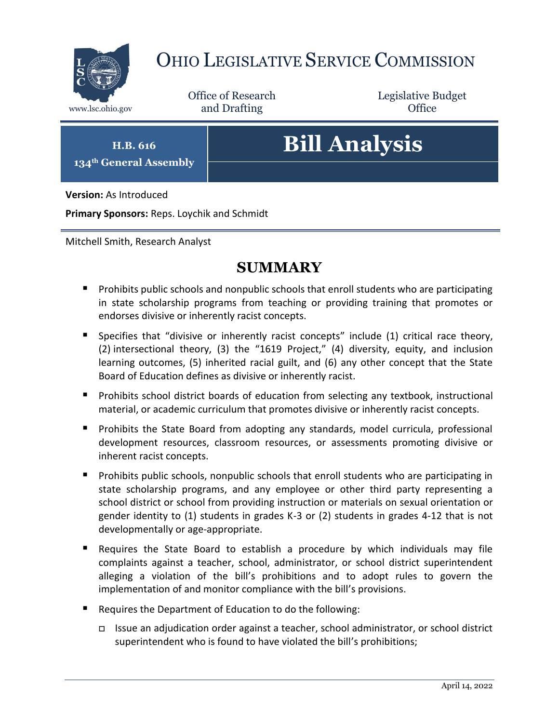

# OHIO LEGISLATIVE SERVICE COMMISSION

Office of Research www.lsc.ohio.gov **and Drafting Office** 

Legislative Budget

**H.B. 616 134th General Assembly**

# **Bill Analysis**

**Version:** As Introduced

**Primary Sponsors:** Reps. Loychik and Schmidt

Mitchell Smith, Research Analyst

## **SUMMARY**

- **Prohibits public schools and nonpublic schools that enroll students who are participating** in state scholarship programs from teaching or providing training that promotes or endorses divisive or inherently racist concepts.
- Specifies that "divisive or inherently racist concepts" include (1) critical race theory, (2) intersectional theory, (3) the "1619 Project," (4) diversity, equity, and inclusion learning outcomes, (5) inherited racial guilt, and (6) any other concept that the State Board of Education defines as divisive or inherently racist.
- **Prohibits school district boards of education from selecting any textbook, instructional** material, or academic curriculum that promotes divisive or inherently racist concepts.
- **Prohibits the State Board from adopting any standards, model curricula, professional** development resources, classroom resources, or assessments promoting divisive or inherent racist concepts.
- **Prohibits public schools, nonpublic schools that enroll students who are participating in** state scholarship programs, and any employee or other third party representing a school district or school from providing instruction or materials on sexual orientation or gender identity to (1) students in grades K-3 or (2) students in grades 4-12 that is not developmentally or age-appropriate.
- Requires the State Board to establish a procedure by which individuals may file complaints against a teacher, school, administrator, or school district superintendent alleging a violation of the bill's prohibitions and to adopt rules to govern the implementation of and monitor compliance with the bill's provisions.
- Requires the Department of Education to do the following:
	- Issue an adjudication order against a teacher, school administrator, or school district superintendent who is found to have violated the bill's prohibitions;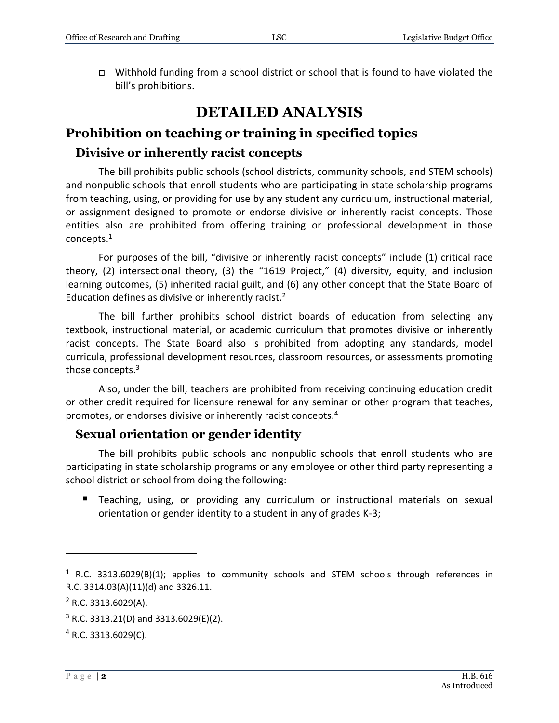### **DETAILED ANALYSIS**

#### **Prohibition on teaching or training in specified topics**

#### **Divisive or inherently racist concepts**

The bill prohibits public schools (school districts, community schools, and STEM schools) and nonpublic schools that enroll students who are participating in state scholarship programs from teaching, using, or providing for use by any student any curriculum, instructional material, or assignment designed to promote or endorse divisive or inherently racist concepts. Those entities also are prohibited from offering training or professional development in those concepts.<sup>1</sup>

For purposes of the bill, "divisive or inherently racist concepts" include (1) critical race theory, (2) intersectional theory, (3) the "1619 Project," (4) diversity, equity, and inclusion learning outcomes, (5) inherited racial guilt, and (6) any other concept that the State Board of Education defines as divisive or inherently racist.<sup>2</sup>

The bill further prohibits school district boards of education from selecting any textbook, instructional material, or academic curriculum that promotes divisive or inherently racist concepts. The State Board also is prohibited from adopting any standards, model curricula, professional development resources, classroom resources, or assessments promoting those concepts.<sup>3</sup>

Also, under the bill, teachers are prohibited from receiving continuing education credit or other credit required for licensure renewal for any seminar or other program that teaches, promotes, or endorses divisive or inherently racist concepts.<sup>4</sup>

#### **Sexual orientation or gender identity**

The bill prohibits public schools and nonpublic schools that enroll students who are participating in state scholarship programs or any employee or other third party representing a school district or school from doing the following:

 Teaching, using, or providing any curriculum or instructional materials on sexual orientation or gender identity to a student in any of grades K-3;

 $\overline{a}$ 

<sup>&</sup>lt;sup>1</sup> R.C. 3313.6029(B)(1); applies to community schools and STEM schools through references in R.C. 3314.03(A)(11)(d) and 3326.11.

 $2$  R.C. 3313.6029(A).

 $3$  R.C. 3313.21(D) and 3313.6029(E)(2).

 $4$  R.C. 3313.6029(C).